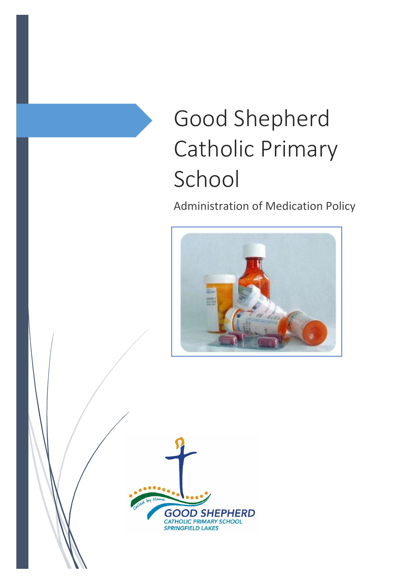# Good Shepherd Catholic Primary School

Administration of Medication Policy



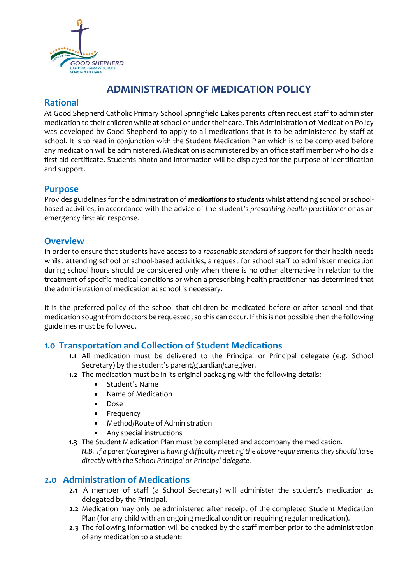

## **ADMINISTRATION OF MEDICATION POLICY**

## **Rational**

At Good Shepherd Catholic Primary School Springfield Lakes parents often request staff to administer medication to their children while at school or under their care. This Administration of Medication Policy was developed by Good Shepherd to apply to all medications that is to be administered by staff at school. It is to read in conjunction with the Student Medication Plan which is to be completed before any medication will be administered. Medication is administered by an office staff member who holds a first-aid certificate. Students photo and information will be displayed for the purpose of identification and support.

#### **Purpose**

Provides guidelines for the administration of *medications to students* whilst attending school or schoolbased activities, in accordance with the advice of the student's *prescribing health practitioner* or as an emergency first aid response.

### **Overview**

In order to ensure that students have access to a *reasonable standard of support* for their health needs whilst attending school or school-based activities, a request for school staff to administer medication during school hours should be considered only when there is no other alternative in relation to the treatment of specific medical conditions or when a prescribing health practitioner has determined that the administration of medication at school is necessary.

It is the preferred policy of the school that children be medicated before or after school and that medication sought from doctors be requested, so this can occur. If this is not possible then the following guidelines must be followed.

## **1.0 Transportation and Collection of Student Medications**

- **1.1** All medication must be delivered to the Principal or Principal delegate (e.g. School Secretary) by the student's parent/guardian/caregiver.
- **1.2** The medication must be in its original packaging with the following details:
	- Student's Name
	- Name of Medication
	- Dose
	- Frequency
	- Method/Route of Administration
	- Any special instructions
- **1.3** The Student Medication Plan must be completed and accompany the medication. *N.B. If a parent/caregiver is having difficulty meeting the above requirements they should liaise directly with the School Principal or Principal delegate.*

## **2.0 Administration of Medications**

- **2.1** A member of staff (a School Secretary) will administer the student's medication as delegated by the Principal.
- **2.2** Medication may only be administered after receipt of the completed Student Medication Plan (for any child with an ongoing medical condition requiring regular medication).
- **2.3** The following information will be checked by the staff member prior to the administration of any medication to a student: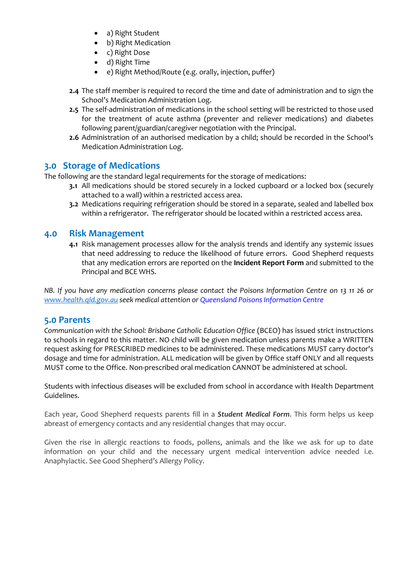- a) Right Student
- b) Right Medication
- c) Right Dose
- d) Right Time
- e) Right Method/Route (e.g. orally, injection, puffer)
- **2.4** The staff member is required to record the time and date of administration and to sign the School's Medication Administration Log.
- **2.5** The self-administration of medications in the school setting will be restricted to those used for the treatment of acute asthma (preventer and reliever medications) and diabetes following parent/guardian/caregiver negotiation with the Principal.
- **2.6** Administration of an authorised medication by a child; should be recorded in the School's Medication Administration Log.

#### **3.0 Storage of Medications**

The following are the standard legal requirements for the storage of medications:

- **3.1** All medications should be stored securely in a locked cupboard or a locked box (securely attached to a wall) within a restricted access area.
- **3.2** Medications requiring refrigeration should be stored in a separate, sealed and labelled box within a refrigerator. The refrigerator should be located within a restricted access area.

#### **4.0 Risk Management**

**4.1** Risk management processes allow for the analysis trends and identify any systemic issues that need addressing to reduce the likelihood of future errors. Good Shepherd requests that any medication errors are reported on the **Incident Report Form** and submitted to the Principal and BCE WHS.

*NB. If you have any medication concerns please contact the Poisons Information Centre on 13 11 26 or [www.health.qld.gov.au](http://www.health.qld.gov.au/) seek medical attention o[r Queensland Poisons Information Centre](http://www.google.com.au/url?sa=t&rct=j&q=&esrc=s&source=web&cd=3&cad=rja&uact=8&ved=0CC4Q6QUoADAC&url=http%3A%2F%2Fwww.health.qld.gov.au%2FPoisonsInformationCentre%2Fdefault.asp&ei=AAwAVMSxNMuKuASt1oGYBg&usg=AFQjCNHJPmK5cHmWiRCDsJfc2lBX0e5yPw)*

#### **5.0 Parents**

*Communication with the School: Brisbane Catholic Education Office* (BCEO) has issued strict instructions to schools in regard to this matter. NO child will be given medication unless parents make a WRITTEN request asking for PRESCRIBED medicines to be administered. These medications MUST carry doctor's dosage and time for administration. ALL medication will be given by Office staff ONLY and all requests MUST come to the Office. Non-prescribed oral medication CANNOT be administered at school.

Students with infectious diseases will be excluded from school in accordance with Health Department Guidelines.

Each year, Good Shepherd requests parents fill in a *Student Medical Form*. This form helps us keep abreast of emergency contacts and any residential changes that may occur.

Given the rise in allergic reactions to foods, pollens, animals and the like we ask for up to date information on your child and the necessary urgent medical intervention advice needed i.e. Anaphylactic. See Good Shepherd's Allergy Policy.